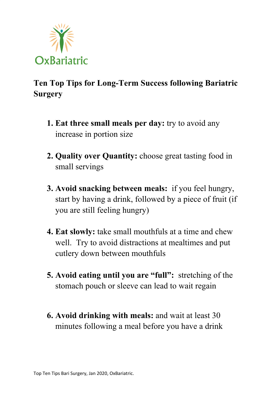

## **Ten Top Tips for Long-Term Success following Bariatric Surgery**

- **1. Eat three small meals per day:** try to avoid any increase in portion size
- **2. Quality over Quantity:** choose great tasting food in small servings
- **3. Avoid snacking between meals:** if you feel hungry, start by having a drink, followed by a piece of fruit (if you are still feeling hungry)
- **4. Eat slowly:** take small mouthfuls at a time and chew well. Try to avoid distractions at mealtimes and put cutlery down between mouthfuls
- **5. Avoid eating until you are "full":** stretching of the stomach pouch or sleeve can lead to wait regain
- **6. Avoid drinking with meals:** and wait at least 30 minutes following a meal before you have a drink